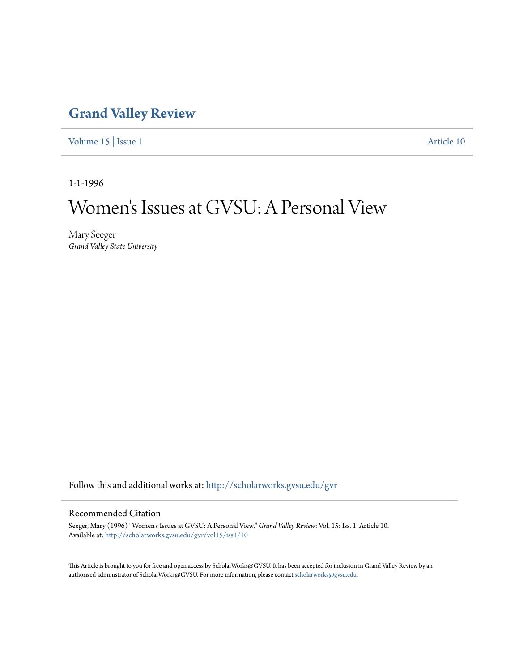## **[Grand Valley Review](http://scholarworks.gvsu.edu/gvr?utm_source=scholarworks.gvsu.edu%2Fgvr%2Fvol15%2Fiss1%2F10&utm_medium=PDF&utm_campaign=PDFCoverPages)**

[Volume 15](http://scholarworks.gvsu.edu/gvr/vol15?utm_source=scholarworks.gvsu.edu%2Fgvr%2Fvol15%2Fiss1%2F10&utm_medium=PDF&utm_campaign=PDFCoverPages) | [Issue 1](http://scholarworks.gvsu.edu/gvr/vol15/iss1?utm_source=scholarworks.gvsu.edu%2Fgvr%2Fvol15%2Fiss1%2F10&utm_medium=PDF&utm_campaign=PDFCoverPages) [Article 10](http://scholarworks.gvsu.edu/gvr/vol15/iss1/10?utm_source=scholarworks.gvsu.edu%2Fgvr%2Fvol15%2Fiss1%2F10&utm_medium=PDF&utm_campaign=PDFCoverPages)

1-1-1996

# Women 's Issues at GVSU: A Personal View

Mary Seeger *Grand Valley State University*

Follow this and additional works at: [http://scholarworks.gvsu.edu/gvr](http://scholarworks.gvsu.edu/gvr?utm_source=scholarworks.gvsu.edu%2Fgvr%2Fvol15%2Fiss1%2F10&utm_medium=PDF&utm_campaign=PDFCoverPages)

#### Recommended Citation

Seeger, Mary (1996) "Women's Issues at GVSU: A Personal View," *Grand Valley Review*: Vol. 15: Iss. 1, Article 10. Available at: [http://scholarworks.gvsu.edu/gvr/vol15/iss1/10](http://scholarworks.gvsu.edu/gvr/vol15/iss1/10?utm_source=scholarworks.gvsu.edu%2Fgvr%2Fvol15%2Fiss1%2F10&utm_medium=PDF&utm_campaign=PDFCoverPages)

This Article is brought to you for free and open access by ScholarWorks@GVSU. It has been accepted for inclusion in Grand Valley Review by an authorized administrator of ScholarWorks@GVSU. For more information, please contact [scholarworks@gvsu.edu.](mailto:scholarworks@gvsu.edu)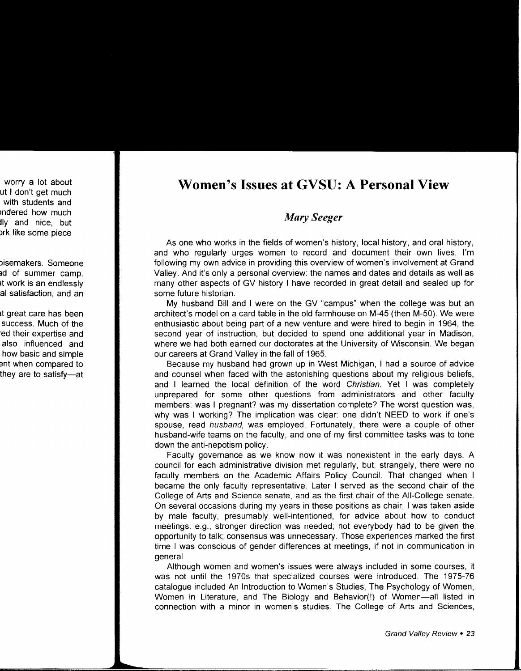### **Women's Issues at GVSU: A Personal View**

#### *Mary Seeger*

As one who works in the fields of women's history, local history, and oral history, and who regularly urges women to record and document their own lives, I'm following my own advice in providing this overview of women's involvement at Grand Valley. And it's only a personal overview: the names and dates and details as well as many other aspects of GV history I have recorded in great detail and sealed up for some future historian.

My husband Bill and I were on the GV "campus" when the college was but an architect's model on a card table in the old farmhouse on M-45 (then M-50). We were enthusiastic about being part of a new venture and were hired to begin in 1964, the second year of instruction, but decided to spend one additional year in Madison, where we had both earned our doctorates at the University of Wisconsin. We began our careers at Grand Valley in the fall of 1965.

Because my husband had grown up in West Michigan, I had a source of advice and counsel when faced with the astonishing questions about my religious beliefs, and I learned the local definition of the word Christian. Yet I was completely unprepared for some other questions from administrators and other faculty members: was I pregnant? was my dissertation complete? The worst question was, why was I working? The implication was clear: one didn't NEED to work if one's spouse, read *husband*, was employed. Fortunately, there were a couple of other husband-wife teams on the faculty, and one of my first committee tasks was to tone down the anti-nepotism policy.

Faculty governance as we know now it was nonexistent in the early days. A council for each administrative division met regularly, but, strangely, there were no faculty members on the Academic Affairs Policy Council. That changed when I became the only faculty representative. Later I served as the second chair of the College of Arts and Science senate, and as the first chair of the All-College senate. On several occasions during my years in these positions as chair, I was taken aside by male faculty, presumably well-intentioned, for advice about how to conduct meetings: e.g., stronger direction was needed; not everybody had to be given the opportunity to talk; consensus was unnecessary. Those experiences marked the first time I was conscious of gender differences at meetings, if not in communication in general.

Although women and women's issues were always included in some courses, it was not until the 1970s that specialized courses were introduced. The 1975-76 catalogue included An Introduction to Women's Studies, The Psychology of Women, Women in Literature, and The Biology and Behavior(!) of Women-all listed in connection with a minor in women's studies. The College of Arts and Sciences,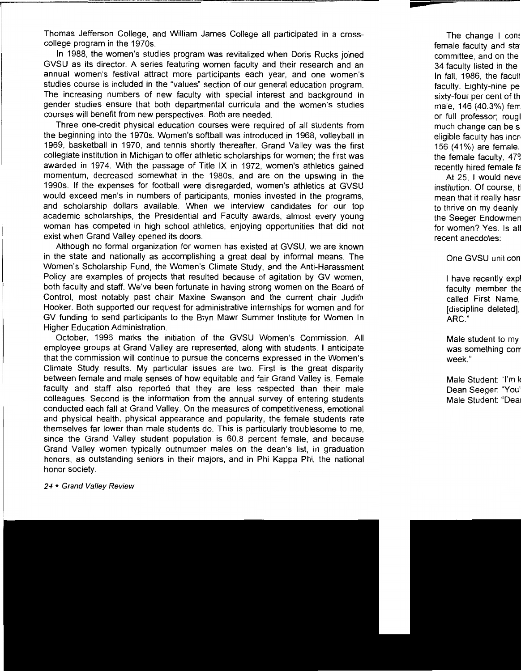Thomas Jefferson College, and William James College all participated in a crosscollege program in the 1970s.

In 1988, the women's studies program was revitalized when Doris Rucks joined GVSU as its director. A series featuring women faculty and their research and an annual women's festival attract more participants each year, and one women's studies course is included in the "values" section of our general education program. The increasing numbers of new faculty with special interest and background in gender studies ensure that both departmental curricula and the women's studies courses will benefit from new perspectives. Both are needed.

Three one-credit physical education courses were required of all students from the beginning into the 1970s. Women's softball was introduced in 1968, volleyball in 1969, basketball in 1970, and tennis shortly thereafter. Grand Valley was the first collegiate institution in Michigan to offer athletic scholarships for women; the first was awarded in 1974. With the passage of Title IX in 1972, women's athletics gained momentum, decreased somewhat in the 1980s, and are on the upswing in the 1990s. If the expenses for football were disregarded, women's athletics at GVSU would exceed men's in numbers of participants, monies invested in the programs, and scholarship dollars available. When we interview candidates for our top academic scholarships, the Presidential and Faculty awards, almost every young woman has competed in high school athletics, enjoying opportunities that did not exist when Grand Valley opened its doors.

Although no formal organization for women has existed at GVSU, we are known in the state and nationally as accomplishing a great deal by informal means. The Women's Scholarship Fund, the Women's Climate Study, and the Anti-Harassment Policy are examples of projects that resulted because of agitation by GV women. both faculty and staff. We've been fortunate in having strong women on the Board of Control, most notably past chair Maxine Swanson and the current chair Judith Hooker. Both supported our request for administrative internships for women and for GV funding to send participants to the Bryn Mawr Summer Institute for Women In Higher Education Administration.

October, 1996 marks the initiation of the GVSU Women's Commission. All employee groups at Grand Valley are represented, along with students. I anticipate that the commission will continue to pursue the concerns expressed in the Women's Climate Study results. My particular issues are two. First is the great disparity between female and male senses of how equitable and fair Grand Valley is. Female faculty and staff also reported that they are less respected than their male colleagues. Second is the information from the annual survey of entering students conducted each fall at Grand Valley. On the measures of competitiveness, emotional and physical health, physical appearance and popularity, the female students rate themselves far lower than male students do. This is particularly troublesome to me, since the Grand Valley student population is 60.8 percent female, and because Grand Valley women typically outnumber males on the dean's list, in graduation honors, as outstanding seniors in their majors, and in Phi Kappa Phi, the national honor society.